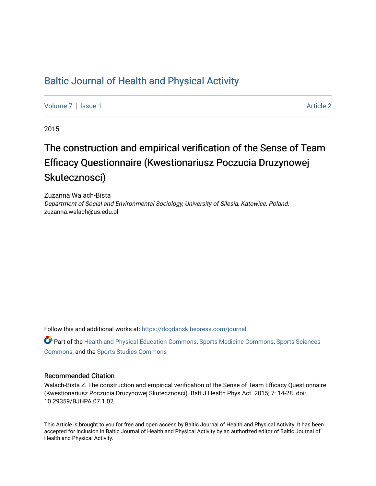# [Baltic Journal of Health and Physical Activity](https://dcgdansk.bepress.com/journal)

[Volume 7](https://dcgdansk.bepress.com/journal/vol7) | [Issue 1](https://dcgdansk.bepress.com/journal/vol7/iss1) Article 2

2015

# The construction and empirical verification of the Sense of Team Efficacy Questionnaire (Kwestionariusz Poczucia Druzynowej Skutecznosci)

Zuzanna Walach-Bista Department of Social and Environmental Sociology, University of Silesia, Katowice, Poland, zuzanna.walach@us.edu.pl

Follow this and additional works at: [https://dcgdansk.bepress.com/journal](https://dcgdansk.bepress.com/journal?utm_source=dcgdansk.bepress.com%2Fjournal%2Fvol7%2Fiss1%2F2&utm_medium=PDF&utm_campaign=PDFCoverPages)

Part of the [Health and Physical Education Commons](http://network.bepress.com/hgg/discipline/1327?utm_source=dcgdansk.bepress.com%2Fjournal%2Fvol7%2Fiss1%2F2&utm_medium=PDF&utm_campaign=PDFCoverPages), [Sports Medicine Commons,](http://network.bepress.com/hgg/discipline/1331?utm_source=dcgdansk.bepress.com%2Fjournal%2Fvol7%2Fiss1%2F2&utm_medium=PDF&utm_campaign=PDFCoverPages) [Sports Sciences](http://network.bepress.com/hgg/discipline/759?utm_source=dcgdansk.bepress.com%2Fjournal%2Fvol7%2Fiss1%2F2&utm_medium=PDF&utm_campaign=PDFCoverPages) [Commons](http://network.bepress.com/hgg/discipline/759?utm_source=dcgdansk.bepress.com%2Fjournal%2Fvol7%2Fiss1%2F2&utm_medium=PDF&utm_campaign=PDFCoverPages), and the [Sports Studies Commons](http://network.bepress.com/hgg/discipline/1198?utm_source=dcgdansk.bepress.com%2Fjournal%2Fvol7%2Fiss1%2F2&utm_medium=PDF&utm_campaign=PDFCoverPages) 

## Recommended Citation

Walach-Bista Z. The construction and empirical verification of the Sense of Team Efficacy Questionnaire (Kwestionariusz Poczucia Druzynowej Skutecznosci). Balt J Health Phys Act. 2015; 7: 14-28. doi: 10.29359/BJHPA.07.1.02

This Article is brought to you for free and open access by Baltic Journal of Health and Physical Activity. It has been accepted for inclusion in Baltic Journal of Health and Physical Activity by an authorized editor of Baltic Journal of Health and Physical Activity.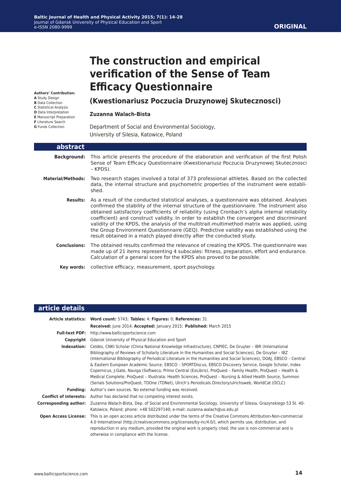## **ORIGINAL**

# **The construction and empirical verification of the Sense of Team Efficacy Questionnaire**

**Authors' Contribution:**

- **A** Study Design
- **B** Data Collection
- **C** Statistical Analysis
- **D** Data Interpretation
- **E** Manuscript Preparation
- **F** Literature Search **G** Funds Collection

# **(Kwestionariusz Poczucia Druzynowej Skutecznosci)**

#### **Zuzanna Walach-Bista**

Department of Social and Environmental Sociology, University of Silesia, Katowice, Poland

| abstract                 |                                                                                                                                                                                                                                                                                                                                                                                                                                                                                                                                                                                                                                                             |
|--------------------------|-------------------------------------------------------------------------------------------------------------------------------------------------------------------------------------------------------------------------------------------------------------------------------------------------------------------------------------------------------------------------------------------------------------------------------------------------------------------------------------------------------------------------------------------------------------------------------------------------------------------------------------------------------------|
| <b>Background:</b>       | This article presents the procedure of the elaboration and verification of the first Polish<br>Sense of Team Efficacy Questionnaire (Kwestionariusz Poczucia Druzynowej Skutecznosci<br>- KPDS).                                                                                                                                                                                                                                                                                                                                                                                                                                                            |
| <b>Material/Methods:</b> | Two research stages involved a total of 373 professional athletes. Based on the collected<br>data, the internal structure and psychometric properties of the instrument were establi-<br>shed.                                                                                                                                                                                                                                                                                                                                                                                                                                                              |
| <b>Results:</b>          | As a result of the conducted statistical analyses, a questionnaire was obtained. Analyses<br>confirmed the stability of the internal structure of the questionnaire. The instrument also<br>obtained satisfactory coefficients of reliability (using Cronbach's alpha internal reliability<br>coefficient) and construct validity. In order to establish the convergent and discriminant<br>validity of the KPDS, the analysis of the multitrait-multimethod matrix was applied, using<br>the Group Environment Questionnaire (GEQ). Predictive validity was established using the<br>result obtained in a match played directly after the conducted study. |
| <b>Conclusions:</b>      | The obtained results confirmed the relevance of creating the KPDS. The questionnaire was<br>made up of 21 items representing 4 subscales: fitness, preparation, effort and endurance.<br>Calculation of a general score for the KPDS also proved to be possible.                                                                                                                                                                                                                                                                                                                                                                                            |
| Kev words:               | collective efficacy, measurement, sport psychology.                                                                                                                                                                                                                                                                                                                                                                                                                                                                                                                                                                                                         |

#### **article details Article statistics: Word count:** 5743; **Tables:** 4; **Figures:** 0; **References:** 31 **Received:** June 2014; **Accepted:** January 2015; **Published:** March 2015 **Full-text PDF:** http://www.balticsportscience.com **Copyright** Gdansk University of Physical Education and Sport **Indexation:** Celdes, CNKI Scholar (China National Knowledge Infrastructure), CNPIEC, De Gruyter – IBR (International Bibliography of Reviews of Scholarly Literature in the Humanities and Social Sciences), De Gruyter – IBZ (International Bibliography of Periodical Literature in the Humanities and Social Sciences), DOAJ, EBSCO – Central & Eastern European Academic Source, EBSCO – SPORTDiscus, EBSCO Discovery Service, Google Scholar, Index Copernicus, J-Gate, Naviga (Softweco, Primo Central (ExLibris), ProQuest – Family Health, ProQuest – Health & Medical Complete, ProQuest – Illustrata: Health Sciences, ProQuest – Nursing & Allied Health Source, Summon (Serials Solutions/ProQuest, TDOne (TDNet), Ulrich's Periodicals Directory/ulrichsweb, WorldCat (OCLC) **Funding:** Author's own sources. No external funding was received. **Conflict of interests:** Author has declared that no competing interest exists. **Corresponding author:** Zuzanna Walach-Bista, Dep. of Social and Environmental Sociology, University of Silesia, Grazynskiego 53 St. 40- Katowice, Poland; phone: +48 502297140; e-mail: zuzanna.walach@us.edu.pl **Open Access License:** This is an open access article distributed under the terms of the Creative Commons Attribution-Non-commercial 4.0 International (http://creativecommons.org/licenses/by-nc/4.0/), which permits use, distribution, and reproduction in any medium, provided the original work is properly cited, the use is non-commercial and is otherwise in compliance with the license.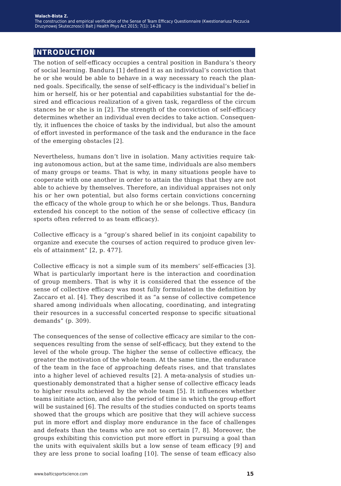# **introduction**

The notion of self-efficacy occupies a central position in Bandura's theory of social learning. Bandura [1] defined it as an individual's conviction that he or she would be able to behave in a way necessary to reach the planned goals. Specifically, the sense of self-efficacy is the individual's belief in him or herself, his or her potential and capabilities substantial for the desired and efficacious realization of a given task, regardless of the circum stances he or she is in [2]. The strength of the conviction of self-efficacy determines whether an individual even decides to take action. Consequently, it influences the choice of tasks by the individual, but also the amount of effort invested in performance of the task and the endurance in the face of the emerging obstacles [2].

Nevertheless, humans don't live in isolation. Many activities require taking autonomous action, but at the same time, individuals are also members of many groups or teams. That is why, in many situations people have to cooperate with one another in order to attain the things that they are not able to achieve by themselves. Therefore, an individual appraises not only his or her own potential, but also forms certain convictions concerning the efficacy of the whole group to which he or she belongs. Thus, Bandura extended his concept to the notion of the sense of collective efficacy (in sports often referred to as team efficacy).

Collective efficacy is a "group's shared belief in its conjoint capability to organize and execute the courses of action required to produce given levels of attainment" [2, p. 477].

Collective efficacy is not a simple sum of its members' self-efficacies [3]. What is particularly important here is the interaction and coordination of group members. That is why it is considered that the essence of the sense of collective efficacy was most fully formulated in the definition by Zaccaro et al. [4]. They described it as "a sense of collective competence shared among individuals when allocating, coordinating, and integrating their resources in a successful concerted response to specific situational demands" (p. 309).

The consequences of the sense of collective efficacy are similar to the consequences resulting from the sense of self-efficacy, but they extend to the level of the whole group. The higher the sense of collective efficacy, the greater the motivation of the whole team. At the same time, the endurance of the team in the face of approaching defeats rises, and that translates into a higher level of achieved results [2]. A meta-analysis of studies unquestionably demonstrated that a higher sense of collective efficacy leads to higher results achieved by the whole team [5]. It influences whether teams initiate action, and also the period of time in which the group effort will be sustained [6]. The results of the studies conducted on sports teams showed that the groups which are positive that they will achieve success put in more effort and display more endurance in the face of challenges and defeats than the teams who are not so certain [7, 8]. Moreover, the groups exhibiting this conviction put more effort in pursuing a goal than the units with equivalent skills but a low sense of team efficacy [9] and they are less prone to social loafing [10]. The sense of team efficacy also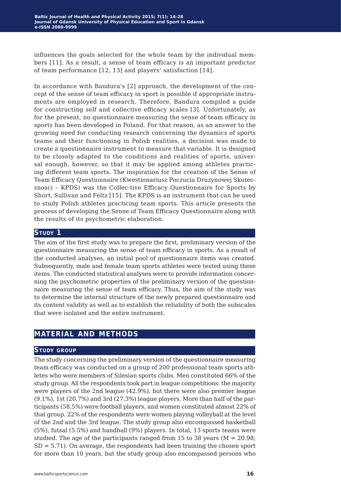influences the goals selected for the whole team by the individual members [11]. As a result, a sense of team efficacy is an important predictor of team performance [12, 13] and players' satisfaction [14].

In accordance with Bandura's [2] approach, the development of the concept of the sense of team efficacy in sport is possible if appropriate instruments are employed in research. Therefore, Bandura compiled a guide for constructing self and collective efficacy scales [3]. Unfortunately, as for the present, no questionnaire measuring the sense of team efficacy in sports has been developed in Poland. For that reason, as an answer to the growing need for conducting research concerning the dynamics of sports teams and their functioning in Polish realities, a decision was made to create a questionnaire instrument to measure that variable. It is designed to be closely adapted to the conditions and realities of sports, universal enough, however, so that it may be applied among athletes practicing different team sports. The inspiration for the creation of the Sense of Team Efficacy Questionnaire (Kwestionariusz Poczucia Druzynowej Skutecznosci – KPDS) was the Collec-tive Efficacy Questionnaire for Sports by Short, Sullivan and Feltz [15]. The KPDS is an instrument that can be used to study Polish athletes practicing team sports. This article presents the process of developing the Sense of Team Efficacy Questionnaire along with the results of its psychometric elaboration.

## STUDY<sub>1</sub>

The aim of the first study was to prepare the first, preliminary version of the questionnaire measuring the sense of team efficacy in sports. As a result of the conducted analyses, an initial pool of questionnaire items was created. Subsequently, male and female team sports athletes were tested using these items. The conducted statistical analyses were to provide information concerning the psychometric properties of the preliminary version of the questionnaire measuring the sense of team efficacy. Thus, the aim of the study was to determine the internal structure of the newly prepared questionnaire and its content validity as well as to establish the reliability of both the subscales that were isolated and the entire instrument.

# **material and methods**

#### **Study group**

The study concerning the preliminary version of the questionnaire measuring team efficacy was conducted on a group of 200 professional team sports athletes who were members of Silesian sports clubs. Men constituted 66% of the study group. All the respondents took part in league competitions: the majority were players of the 2nd league (42.9%), but there were also premier league (9.1%), 1st (20.7%) and 3rd (27.3%) league players. More than half of the participants (58.5%) were football players, and women constituted almost 22% of that group. 22% of the respondents were women playing volleyball at the level of the 2nd and the 3rd league. The study group also encompassed basketball (5%), futsal (5.5%) and handball (9%) players. In total, 13 sports teams were studied. The age of the participants ranged from 15 to 38 years ( $M = 20.98$ ; SD = 5.71). On average, the respondents had been training the chosen sport for more than 10 years, but the study group also encompassed persons who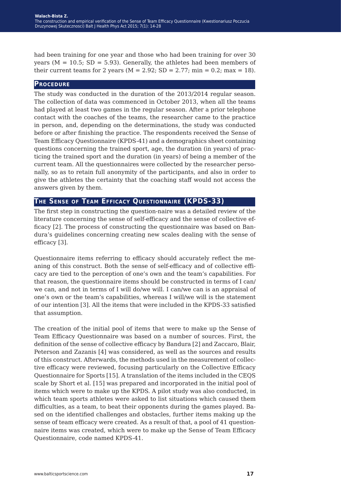had been training for one year and those who had been training for over 30 years ( $M = 10.5$ ; SD = 5.93). Generally, the athletes had been members of their current teams for 2 years ( $M = 2.92$ ; SD = 2.77; min = 0.2; max = 18).

### **Procedure**

The study was conducted in the duration of the 2013/2014 regular season. The collection of data was commenced in October 2013, when all the teams had played at least two games in the regular season. After a prior telephone contact with the coaches of the teams, the researcher came to the practice in person, and, depending on the determinations, the study was conducted before or after finishing the practice. The respondents received the Sense of Team Efficacy Questionnaire (KPDS-41) and a demographics sheet containing questions concerning the trained sport, age, the duration (in years) of practicing the trained sport and the duration (in years) of being a member of the current team. All the questionnaires were collected by the researcher personally, so as to retain full anonymity of the participants, and also in order to give the athletes the certainty that the coaching staff would not access the answers given by them.

## **The Sense of Team Efficacy Questionnaire (KPDS-33)**

The first step in constructing the question-naire was a detailed review of the literature concerning the sense of self-efficacy and the sense of collective efficacy [2]. The process of constructing the questionnaire was based on Bandura's guidelines concerning creating new scales dealing with the sense of efficacy [3].

Questionnaire items referring to efficacy should accurately reflect the meaning of this construct. Both the sense of self-efficacy and of collective efficacy are tied to the perception of one's own and the team's capabilities. For that reason, the questionnaire items should be constructed in terms of I can/ we can, and not in terms of I will do/we will. I can/we can is an appraisal of one's own or the team's capabilities, whereas I will/we will is the statement of our intention [3]. All the items that were included in the KPDS-33 satisfied that assumption.

The creation of the initial pool of items that were to make up the Sense of Team Efficacy Questionnaire was based on a number of sources. First, the definition of the sense of collective efficacy by Bandura [2] and Zaccaro, Blair, Peterson and Zazanis [4] was considered, as well as the sources and results of this construct. Afterwards, the methods used in the measurement of collective efficacy were reviewed, focusing particularly on the Collective Efficacy Questionnaire for Sports [15]. A translation of the items included in the CEQS scale by Short et al. [15] was prepared and incorporated in the initial pool of items which were to make up the KPDS. A pilot study was also conducted, in which team sports athletes were asked to list situations which caused them difficulties, as a team, to beat their opponents during the games played. Based on the identified challenges and obstacles, further items making up the sense of team efficacy were created. As a result of that, a pool of 41 questionnaire items was created, which were to make up the Sense of Team Efficacy Questionnaire, code named KPDS-41.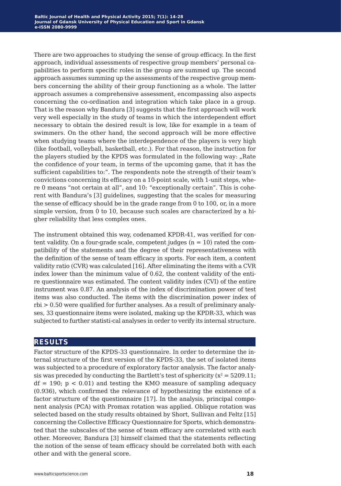There are two approaches to studying the sense of group efficacy. In the first approach, individual assessments of respective group members' personal capabilities to perform specific roles in the group are summed up. The second approach assumes summing up the assessments of the respective group members concerning the ability of their group functioning as a whole. The latter approach assumes a comprehensive assessment, encompassing also aspects concerning the co-ordination and integration which take place in a group. That is the reason why Bandura [3] suggests that the first approach will work very well especially in the study of teams in which the interdependent effort necessary to obtain the desired result is low, like for example in a team of swimmers. On the other hand, the second approach will be more effective when studying teams where the interdependence of the players is very high (like football, volleyball, basketball, etc.). For that reason, the instruction for the players studied by the KPDS was formulated in the following way: "Rate the confidence of your team, in terms of the upcoming game, that it has the sufficient capabilities to:". The respondents note the strength of their team's convictions concerning its efficacy on a 10-point scale, with 1-unit steps, where 0 means "not certain at all", and 10: "exceptionally certain". This is coherent with Bandura's [3] guidelines, suggesting that the scales for measuring the sense of efficacy should be in the grade range from 0 to 100, or, in a more simple version, from 0 to 10, because such scales are characterized by a higher reliability that less complex ones.

The instrument obtained this way, codenamed KPDR-41, was verified for content validity. On a four-grade scale, competent judges  $(n = 10)$  rated the compatibility of the statements and the degree of their representativeness with the definition of the sense of team efficacy in sports. For each item, a content validity ratio (CVR) was calculated [16]. After eliminating the items with a CVR index lower than the minimum value of 0.62, the content validity of the entire questionnaire was estimated. The content validity index (CVI) of the entire instrument was 0.87. An analysis of the index of discrimination power of test items was also conducted. The items with the discrimination power index of rbi > 0.50 were qualified for further analyses. As a result of preliminary analyses, 33 questionnaire items were isolated, making up the KPDR-33, which was subjected to further statisti-cal analyses in order to verify its internal structure.

## **results**

Factor structure of the KPDS-33 questionnaire. In order to determine the internal structure of the first version of the KPDS-33, the set of isolated items was subjected to a procedure of exploratory factor analysis. The factor analysis was preceded by conducting the Bartlett's test of sphericity  $(x^2 = 5209.11)$ ;  $df = 190$ ;  $p < 0.01$ ) and testing the KMO measure of sampling adequacy (0.936), which confirmed the relevance of hypothesizing the existence of a factor structure of the questionnaire [17]. In the analysis, principal component analysis (PCA) with Promax rotation was applied. Oblique rotation was selected based on the study results obtained by Short, Sullivan and Feltz [15] concerning the Collective Efficacy Questionnaire for Sports, which demonstrated that the subscales of the sense of team efficacy are correlated with each other. Moreover, Bandura [3] himself claimed that the statements reflecting the notion of the sense of team efficacy should be correlated both with each other and with the general score.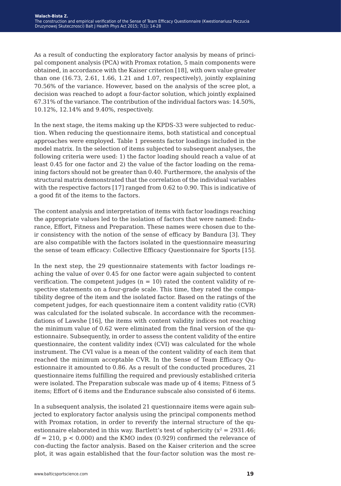As a result of conducting the exploratory factor analysis by means of principal component analysis (PCA) with Promax rotation, 5 main components were obtained, in accordance with the Kaiser criterion [18], with own value greater than one  $(16.73, 2.61, 1.66, 1.21$  and  $1.07$ , respectively), jointly explaining 70.56% of the variance. However, based on the analysis of the scree plot, a decision was reached to adopt a four-factor solution, which jointly explained 67.31% of the variance. The contribution of the individual factors was: 14.50%, 10.12%, 12.14% and 9.40%, respectively.

In the next stage, the items making up the KPDS-33 were subjected to reduction. When reducing the questionnaire items, both statistical and conceptual approaches were employed. Table 1 presents factor loadings included in the model matrix. In the selection of items subjected to subsequent analyses, the following criteria were used: 1) the factor loading should reach a value of at least 0.45 for one factor and 2) the value of the factor loading on the remaining factors should not be greater than 0.40. Furthermore, the analysis of the structural matrix demonstrated that the correlation of the individual variables with the respective factors [17] ranged from 0.62 to 0.90. This is indicative of a good fit of the items to the factors.

The content analysis and interpretation of items with factor loadings reaching the appropriate values led to the isolation of factors that were named: Endurance, Effort, Fitness and Preparation. These names were chosen due to their consistency with the notion of the sense of efficacy by Bandura [3]. They are also compatible with the factors isolated in the questionnaire measuring the sense of team efficacy: Collective Efficacy Questionnaire for Sports [15].

In the next step, the 29 questionnaire statements with factor loadings reaching the value of over 0.45 for one factor were again subjected to content verification. The competent judges  $(n = 10)$  rated the content validity of respective statements on a four-grade scale. This time, they rated the compatibility degree of the item and the isolated factor. Based on the ratings of the competent judges, for each questionnaire item a content validity ratio (CVR) was calculated for the isolated subscale. In accordance with the recommendations of Lawshe [16], the items with content validity indices not reaching the minimum value of 0.62 were eliminated from the final version of the questionnaire. Subsequently, in order to assess the content validity of the entire questionnaire, the content validity index (CVI) was calculated for the whole instrument. The CVI value is a mean of the content validity of each item that reached the minimum acceptable CVR. In the Sense of Team Efficacy Questionnaire it amounted to 0.86. As a result of the conducted procedures, 21 questionnaire items fulfilling the required and previously established criteria were isolated. The Preparation subscale was made up of 4 items; Fitness of 5 items; Effort of 6 items and the Endurance subscale also consisted of 6 items.

In a subsequent analysis, the isolated 21 questionnaire items were again subjected to exploratory factor analysis using the principal components method with Promax rotation, in order to reverify the internal structure of the questionnaire elaborated in this way. Bartlett's test of sphericity ( $x^2 = 2931.46$ ;  $df = 210$ ,  $p < 0.000$ ) and the KMO index (0.929) confirmed the relevance of con-ducting the factor analysis. Based on the Kaiser criterion and the scree plot, it was again established that the four-factor solution was the most re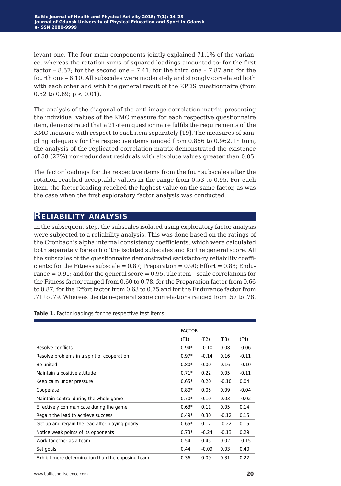levant one. The four main components jointly explained 71.1% of the variance, whereas the rotation sums of squared loadings amounted to: for the first factor – 8.57; for the second one – 7.41; for the third one – 7.87 and for the fourth one – 6.10. All subscales were moderately and strongly correlated both with each other and with the general result of the KPDS questionnaire (from 0.52 to 0.89;  $p < 0.01$ ).

The analysis of the diagonal of the anti-image correlation matrix, presenting the individual values of the KMO measure for each respective questionnaire item, demonstrated that a 21-item questionnaire fulfils the requirements of the KMO measure with respect to each item separately [19]. The measures of sampling adequacy for the respective items ranged from 0.856 to 0.962. In turn, the analysis of the replicated correlation matrix demonstrated the existence of 58 (27%) non-redundant residuals with absolute values greater than 0.05.

The factor loadings for the respective items from the four subscales after the rotation reached acceptable values in the range from 0.53 to 0.95. For each item, the factor loading reached the highest value on the same factor, as was the case when the first exploratory factor analysis was conducted.

# **Reliability analysis**

In the subsequent step, the subscales isolated using exploratory factor analysis were subjected to a reliability analysis. This was done based on the ratings of the Cronbach's alpha internal consistency coefficients, which were calculated both separately for each of the isolated subscales and for the general score. All the subscales of the questionnaire demonstrated satisfacto-ry reliability coefficients: for the Fitness subscale =  $0.87$ ; Preparation =  $0.90$ ; Effort =  $0.88$ ; Endurance  $= 0.91$ ; and for the general score  $= 0.95$ . The item  $-$  scale correlations for the Fitness factor ranged from 0.60 to 0.78, for the Preparation factor from 0.66 to 0.87, for the Effort factor from 0.63 to 0.75 and for the Endurance factor from .71 to .79. Whereas the item–general score correla-tions ranged from .57 to .78.

**Table 1.** Factor loadings for the respective test items.

|                                                   | <b>FACTOR</b> |         |         |         |
|---------------------------------------------------|---------------|---------|---------|---------|
|                                                   | (F1)          | (F2)    | (F3)    | (F4)    |
| Resolve conflicts                                 | $0.94*$       | $-0.10$ | 0.08    | $-0.06$ |
| Resolve problems in a spirit of cooperation       | $0.97*$       | $-0.14$ | 0.16    | $-0.11$ |
| Be united                                         | $0.80*$       | 0.00    | 0.16    | $-0.10$ |
| Maintain a positive attitude                      | $0.71*$       | 0.22    | 0.05    | $-0.11$ |
| Keep calm under pressure                          | $0.65*$       | 0.20    | $-0.10$ | 0.04    |
| Cooperate                                         | $0.80*$       | 0.05    | 0.09    | $-0.04$ |
| Maintain control during the whole game            | $0.70*$       | 0.10    | 0.03    | $-0.02$ |
| Effectively communicate during the game           | $0.63*$       | 0.11    | 0.05    | 0.14    |
| Regain the lead to achieve success                | $0.49*$       | 0.30    | $-0.12$ | 0.15    |
| Get up and regain the lead after playing poorly   | $0.65*$       | 0.17    | $-0.22$ | 0.15    |
| Notice weak points of its opponents               | $0.73*$       | $-0.24$ | $-0.13$ | 0.29    |
| Work together as a team                           | 0.54          | 0.45    | 0.02    | $-0.15$ |
| Set goals                                         | 0.44          | $-0.09$ | 0.03    | 0.40    |
| Exhibit more determination than the opposing team | 0.36          | 0.09    | 0.31    | 0.22    |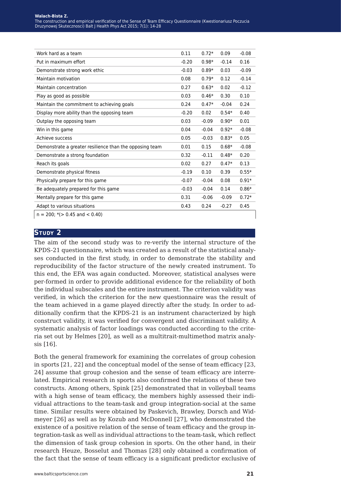| Work hard as a team                                     | 0.11    | $0.72*$ | 0.09    | $-0.08$ |
|---------------------------------------------------------|---------|---------|---------|---------|
| Put in maximum effort                                   | $-0.20$ | $0.98*$ | $-0.14$ | 0.16    |
| Demonstrate strong work ethic                           | $-0.03$ | $0.89*$ | 0.03    | $-0.09$ |
| Maintain motivation                                     | 0.08    | $0.79*$ | 0.12    | $-0.14$ |
| Maintain concentration                                  | 0.27    | $0.63*$ | 0.02    | $-0.12$ |
| Play as good as possible                                | 0.03    | $0.46*$ | 0.30    | 0.10    |
| Maintain the commitment to achieving goals              | 0.24    | $0.47*$ | $-0.04$ | 0.24    |
| Display more ability than the opposing team             | $-0.20$ | 0.02    | $0.54*$ | 0.40    |
| Outplay the opposing team                               | 0.03    | $-0.09$ | $0.90*$ | 0.01    |
| Win in this game                                        | 0.04    | $-0.04$ | $0.92*$ | $-0.08$ |
| Achieve success                                         | 0.05    | $-0.03$ | $0.83*$ | 0.05    |
| Demonstrate a greater resilience than the opposing team | 0.01    | 0.15    | $0.68*$ | $-0.08$ |
| Demonstrate a strong foundation                         | 0.32    | $-0.11$ | $0.48*$ | 0.20    |
| Reach its goals                                         | 0.02    | 0.27    | $0.47*$ | 0.13    |
| Demonstrate physical fitness                            | $-0.19$ | 0.10    | 0.39    | $0.55*$ |
| Physically prepare for this game                        | $-0.07$ | $-0.04$ | 0.08    | $0.91*$ |
| Be adequately prepared for this game                    | $-0.03$ | $-0.04$ | 0.14    | $0.86*$ |
| Mentally prepare for this game                          | 0.31    | $-0.06$ | $-0.09$ | $0.72*$ |
| Adapt to various situations                             | 0.43    | 0.24    | $-0.27$ | 0.45    |
| $n = 200$ ; *( $> 0.45$ and $< 0.40$ )                  |         |         |         |         |

#### **STUDY 2**

The aim of the second study was to re-verify the internal structure of the KPDS-21 questionnaire, which was created as a result of the statistical analyses conducted in the first study, in order to demonstrate the stability and reproducibility of the factor structure of the newly created instrument. To this end, the EFA was again conducted. Moreover, statistical analyses were per-formed in order to provide additional evidence for the reliability of both the individual subscales and the entire instrument. The criterion validity was verified, in which the criterion for the new questionnaire was the result of the team achieved in a game played directly after the study. In order to additionally confirm that the KPDS-21 is an instrument characterized by high construct validity, it was verified for convergent and discriminant validity. A systematic analysis of factor loadings was conducted according to the criteria set out by Helmes [20], as well as a multitrait-multimethod matrix analysis [16].

Both the general framework for examining the correlates of group cohesion in sports [21, 22] and the conceptual model of the sense of team efficacy [23, 24] assume that group cohesion and the sense of team efficacy are interrelated. Empirical research in sports also confirmed the relations of these two constructs. Among others, Spink [25] demonstrated that in volleyball teams with a high sense of team efficacy, the members highly assessed their individual attractions to the team-task and group integration-social at the same time. Similar results were obtained by Paskevich, Brawley, Dorsch and Widmeyer [26] as well as by Kozub and McDonnell [27], who demonstrated the existence of a positive relation of the sense of team efficacy and the group integration-task as well as individual attractions to the team-task, which reflect the dimension of task group cohesion in sports. On the other hand, in their research Heuze, Bosselut and Thomas [28] only obtained a confirmation of the fact that the sense of team efficacy is a significant predictor exclusive of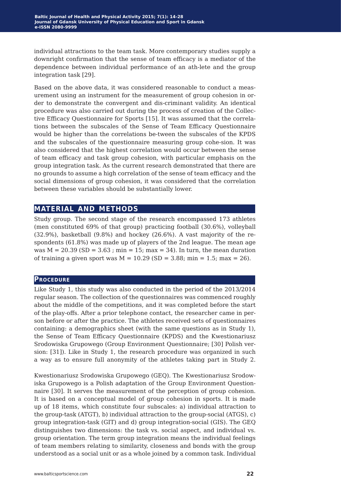individual attractions to the team task. More contemporary studies supply a downright confirmation that the sense of team efficacy is a mediator of the dependence between individual performance of an ath-lete and the group integration task [29].

Based on the above data, it was considered reasonable to conduct a measurement using an instrument for the measurement of group cohesion in order to demonstrate the convergent and dis-criminant validity. An identical procedure was also carried out during the process of creation of the Collective Efficacy Questionnaire for Sports [15]. It was assumed that the correlations between the subscales of the Sense of Team Efficacy Questionnaire would be higher than the correlations be-tween the subscales of the KPDS and the subscales of the questionnaire measuring group cohe-sion. It was also considered that the highest correlation would occur between the sense of team efficacy and task group cohesion, with particular emphasis on the group integration task. As the current research demonstrated that there are no grounds to assume a high correlation of the sense of team efficacy and the social dimensions of group cohesion, it was considered that the correlation between these variables should be substantially lower.

# **material and methods**

Study group. The second stage of the research encompassed 173 athletes (men constituted 69% of that group) practicing football (30.6%), volleyball (32.9%), basketball (9.8%) and hockey (26.6%). A vast majority of the respondents (61.8%) was made up of players of the 2nd league. The mean age was  $M = 20.39$  (SD = 3.63; min = 15; max = 34). In turn, the mean duration of training a given sport was  $M = 10.29$  (SD = 3.88; min = 1.5; max = 26).

## **Procedure**

Like Study 1, this study was also conducted in the period of the 2013/2014 regular season. The collection of the questionnaires was commenced roughly about the middle of the competitions, and it was completed before the start of the play-offs. After a prior telephone contact, the researcher came in person before or after the practice. The athletes received sets of questionnaires containing: a demographics sheet (with the same questions as in Study 1), the Sense of Team Efficacy Questionnaire (KPDS) and the Kwestionariusz Srodowiska Grupowego (Group Environment Questionnaire; [30] Polish version: [31]). Like in Study 1, the research procedure was organized in such a way as to ensure full anonymity of the athletes taking part in Study 2.

Kwestionariusz Srodowiska Grupowego (GEQ). The Kwestionariusz Srodowiska Grupowego is a Polish adaptation of the Group Environment Questionnaire [30]. It serves the measurement of the perception of group cohesion. It is based on a conceptual model of group cohesion in sports. It is made up of 18 items, which constitute four subscales: a) individual attraction to the group-task (ATGT), b) individual attraction to the group-social (ATGS), c) group integration-task (GIT) and d) group integration-social (GIS). The GEQ distinguishes two dimensions: the task vs. social aspect, and individual vs. group orientation. The term group integration means the individual feelings of team members relating to similarity, closeness and bonds with the group understood as a social unit or as a whole joined by a common task. Individual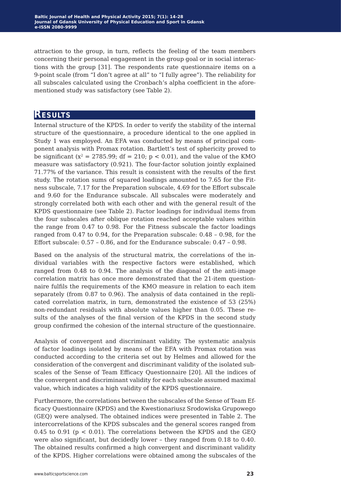attraction to the group, in turn, reflects the feeling of the team members concerning their personal engagement in the group goal or in social interactions with the group [31]. The respondents rate questionnaire items on a 9-point scale (from "I don't agree at all" to "I fully agree"). The reliability for all subscales calculated using the Cronbach's alpha coefficient in the aforementioned study was satisfactory (see Table 2).

# **Results**

Internal structure of the KPDS. In order to verify the stability of the internal structure of the questionnaire, a procedure identical to the one applied in Study 1 was employed. An EFA was conducted by means of principal component analysis with Promax rotation. Bartlett's test of sphericity proved to be significant ( $x^2 = 2785.99$ ; df = 210;  $p < 0.01$ ), and the value of the KMO measure was satisfactory (0.921). The four-factor solution jointly explained 71.77% of the variance. This result is consistent with the results of the first study. The rotation sums of squared loadings amounted to 7.65 for the Fitness subscale, 7.17 for the Preparation subscale, 4.69 for the Effort subscale and 9.60 for the Endurance subscale. All subscales were moderately and strongly correlated both with each other and with the general result of the KPDS questionnaire (see Table 2). Factor loadings for individual items from the four subscales after oblique rotation reached acceptable values within the range from 0.47 to 0.98. For the Fitness subscale the factor loadings ranged from 0.47 to 0.94, for the Preparation subscale: 0.48 – 0.98, for the Effort subscale: 0.57 – 0.86, and for the Endurance subscale: 0.47 – 0.98.

Based on the analysis of the structural matrix, the correlations of the individual variables with the respective factors were established, which ranged from 0.48 to 0.94. The analysis of the diagonal of the anti-image correlation matrix has once more demonstrated that the 21-item questionnaire fulfils the requirements of the KMO measure in relation to each item separately (from 0.87 to 0.96). The analysis of data contained in the replicated correlation matrix, in turn, demonstrated the existence of 53 (25%) non-redundant residuals with absolute values higher than 0.05. These results of the analyses of the final version of the KPDS in the second study group confirmed the cohesion of the internal structure of the questionnaire.

Analysis of convergent and discriminant validity. The systematic analysis of factor loadings isolated by means of the EFA with Promax rotation was conducted according to the criteria set out by Helmes and allowed for the consideration of the convergent and discriminant validity of the isolated subscales of the Sense of Team Efficacy Questionnaire [20]. All the indices of the convergent and discriminant validity for each subscale assumed maximal value, which indicates a high validity of the KPDS questionnaire.

Furthermore, the correlations between the subscales of the Sense of Team Efficacy Questionnaire (KPDS) and the Kwestionariusz Srodowiska Grupowego (GEQ) were analysed. The obtained indices were presented in Table 2. The intercorrelations of the KPDS subscales and the general scores ranged from 0.45 to 0.91 ( $p < 0.01$ ). The correlations between the KPDS and the GEQ were also significant, but decidedly lower – they ranged from 0.18 to 0.40. The obtained results confirmed a high convergent and discriminant validity of the KPDS. Higher correlations were obtained among the subscales of the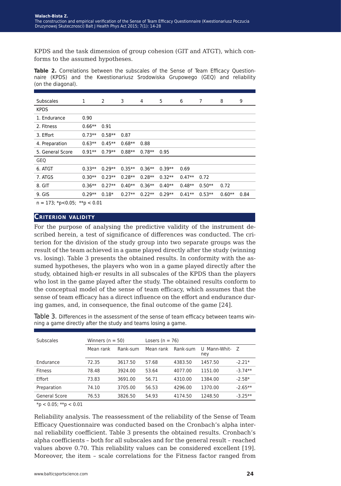KPDS and the task dimension of group cohesion (GIT and ATGT), which conforms to the assumed hypotheses.

**Table 2.** Correlations between the subscales of the Sense of Team Efficacy Questionnaire (KPDS) and the Kwestionariusz Srodowiska Grupowego (GEQ) and reliability (on the diagonal).

| <b>Subscales</b>                          | 1        | 2        | 3        | 4        | 5        | 6        | 7        | 8        | 9    |
|-------------------------------------------|----------|----------|----------|----------|----------|----------|----------|----------|------|
| <b>KPDS</b>                               |          |          |          |          |          |          |          |          |      |
| 1. Endurance                              | 0.90     |          |          |          |          |          |          |          |      |
| 2. Fitness                                | $0.66**$ | 0.91     |          |          |          |          |          |          |      |
| 3. Effort                                 | $0.73**$ | $0.58**$ | 0.87     |          |          |          |          |          |      |
| 4. Preparation                            | $0.63**$ | $0.45**$ | $0.68**$ | 0.88     |          |          |          |          |      |
| 5. General Score                          | $0.91**$ | $0.79**$ | $0.88**$ | $0.78**$ | 0.95     |          |          |          |      |
| GEQ                                       |          |          |          |          |          |          |          |          |      |
| 6. ATGT                                   | $0.33**$ | $0.29**$ | $0.35**$ | $0.36**$ | $0.39**$ | 0.69     |          |          |      |
| 7. ATGS                                   | $0.30**$ | $0.23**$ | $0.28**$ | $0.28**$ | $0.32**$ | $0.47**$ | 0.72     |          |      |
| 8. GIT                                    | $0.36**$ | $0.27**$ | $0.40**$ | $0.36**$ | $0.40**$ | $0.48**$ | $0.50**$ | 0.72     |      |
| 9. GIS                                    | $0.29**$ | $0.18*$  | $0.27**$ | $0.22**$ | $0.29**$ | $0.41**$ | $0.53**$ | $0.60**$ | 0.84 |
| $n = 172$ , $kn > 0$ $0.5$ , $kkn > 0.01$ |          |          |          |          |          |          |          |          |      |

 $n = 173$ ; \*p<0.05; \*\*p < 0.01

#### **Criterion validity**

For the purpose of analysing the predictive validity of the instrument described herein, a test of significance of differences was conducted. The criterion for the division of the study group into two separate groups was the result of the team achieved in a game played directly after the study (winning vs. losing). Table 3 presents the obtained results. In conformity with the assumed hypotheses, the players who won in a game played directly after the study, obtained high-er results in all subscales of the KPDS than the players who lost in the game played after the study. The obtained results conform to the conceptual model of the sense of team efficacy, which assumes that the sense of team efficacy has a direct influence on the effort and endurance during games, and, in consequence, the final outcome of the game [24].

| Table 3. Differences in the assessment of the sense of team efficacy between teams win- |  |
|-----------------------------------------------------------------------------------------|--|
| ning a game directly after the study and teams losing a game.                           |  |
|                                                                                         |  |
|                                                                                         |  |

|           |          | Losers ( $n = 76$ )  |         |          |                |  |  |  |
|-----------|----------|----------------------|---------|----------|----------------|--|--|--|
| Mean rank | Rank-sum | Mean rank            |         | ney      |                |  |  |  |
| 72.35     | 3617.50  | 57.68                | 4383.50 | 1457.50  | $-2.21*$       |  |  |  |
| 78.48     | 3924.00  | 53.64                | 4077.00 | 1151.00  | $-3.74**$      |  |  |  |
| 73.83     | 3691.00  | 56.71                | 4310.00 | 1384.00  | $-2.58*$       |  |  |  |
| 74.10     | 3705.00  | 56.53                | 4296.00 | 1370.00  | $-2.65***$     |  |  |  |
| 76.53     | 3826.50  | 54.93                | 4174.50 | 1248.50  | $-3.25**$      |  |  |  |
|           |          | Winners ( $n = 50$ ) |         | Rank-sum | U Mann-Whit- Z |  |  |  |

 $*p < 0.05$ ;  $**p < 0.01$ 

Reliability analysis. The reassessment of the reliability of the Sense of Team Efficacy Questionnaire was conducted based on the Cronbach's alpha internal reliability coefficient. Table 3 presents the obtained results. Cronbach's alpha coefficients – both for all subscales and for the general result – reached values above 0.70. This reliability values can be considered excellent [19]. Moreover, the item – scale correlations for the Fitness factor ranged from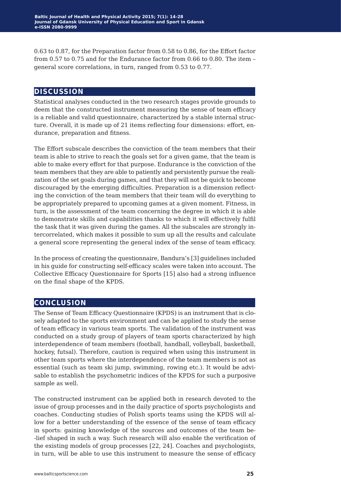0.63 to 0.87, for the Preparation factor from 0.58 to 0.86, for the Effort factor from 0.57 to 0.75 and for the Endurance factor from 0.66 to 0.80. The item – general score correlations, in turn, ranged from 0.53 to 0.77.

# **discussion**

Statistical analyses conducted in the two research stages provide grounds to deem that the constructed instrument measuring the sense of team efficacy is a reliable and valid questionnaire, characterized by a stable internal structure. Overall, it is made up of 21 items reflecting four dimensions: effort, endurance, preparation and fitness.

The Effort subscale describes the conviction of the team members that their team is able to strive to reach the goals set for a given game, that the team is able to make every effort for that purpose. Endurance is the conviction of the team members that they are able to patiently and persistently pursue the realization of the set goals during games, and that they will not be quick to become discouraged by the emerging difficulties. Preparation is a dimension reflecting the conviction of the team members that their team will do everything to be appropriately prepared to upcoming games at a given moment. Fitness, in turn, is the assessment of the team concerning the degree in which it is able to demonstrate skills and capabilities thanks to which it will effectively fulfil the task that it was given during the games. All the subscales are strongly intercorrelated, which makes it possible to sum up all the results and calculate a general score representing the general index of the sense of team efficacy.

In the process of creating the questionnaire, Bandura's [3] guidelines included in his guide for constructing self-efficacy scales were taken into account. The Collective Efficacy Questionnaire for Sports [15] also had a strong influence on the final shape of the KPDS.

# **conclusion**

The Sense of Team Efficacy Questionnaire (KPDS) is an instrument that is closely adapted to the sports environment and can be applied to study the sense of team efficacy in various team sports. The validation of the instrument was conducted on a study group of players of team sports characterized by high interdependence of team members (football, handball, volleyball, basketball, hockey, futsal). Therefore, caution is required when using this instrument in other team sports where the interdependence of the team members is not as essential (such as team ski jump, swimming, rowing etc.). It would be advisable to establish the psychometric indices of the KPDS for such a purposive sample as well.

The constructed instrument can be applied both in research devoted to the issue of group processes and in the daily practice of sports psychologists and coaches. Conducting studies of Polish sports teams using the KPDS will allow for a better understanding of the essence of the sense of team efficacy in sports: gaining knowledge of the sources and outcomes of the team be- -lief shaped in such a way. Such research will also enable the verification of the existing models of group processes [22, 24]. Coaches and psychologists, in turn, will be able to use this instrument to measure the sense of efficacy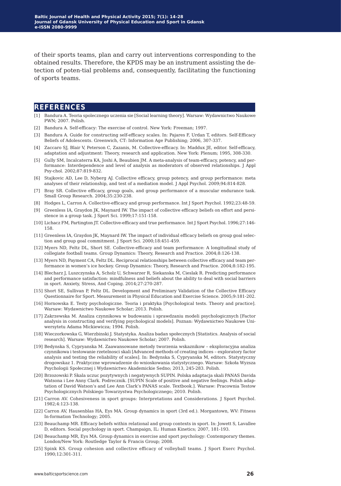of their sports teams, plan and carry out interventions corresponding to the obtained results. Therefore, the KPDS may be an instrument assisting the detection of poten-tial problems and, consequently, facilitating the functioning of sports teams.

## **references**

- [1] Bandura A. Teoria spolecznego uczenia sie [Social learning theory]. Warsaw: Wydawnictwo Naukowe PWN; 2007. Polish.
- [2] Bandura A. Self-efficacy: The exercise of control. New York: Freeman; 1997.
- [3] Bandura A. Guide for constructing self-efficacy scales. In: Pajares F, Urdan T, editors. Self-Efficacy Beliefs of Adolescents. Greenwich, CT: Information Age Publishing; 2006, 307-337.
- [4] Zaccaro SJ, Blair V, Peterson C, Zazanis, M. Collective-efficacy. In: Maddux JE, editor. Self-efficacy, adaptation and adjustment: Theory, research and application. New York: Plenum; 1995, 308-330.
- [5] Gully SM, Incalcaterra KA, Joshi A, Beaubien JM. A meta-analysis of team-efficacy, potency, and performance: Interdependence and level of analysis as moderators of observed relationships. J Appl Psy-chol. 2002;87:819-832.
- [6] Stajkovic AD, Lee D, Nyberg AJ. Collective efficacy, group potency, and group performance: meta analyses of their relationship, and test of a mediation model. J Appl Psychol. 2009;94:814-828.
- [7] Bray SR. Collective efficacy, group goals, and group performance of a muscular endurance task. Small Group Research. 2004;35:230-238.
- [8] Hodges L, Carron A. Collective-efficacy and group performance. Int J Sport Psychol. 1992;23:48-59.
- [9] Greenless IA, Graydon JK, Maynard IW. The impact of collective efficacy beliefs on effort and persistence in a group task. J Sport Sci. 1999;17:151-158.
- [10] Lichacz FM, Partington JT. Collective-efficacy and true performance. Int J Sport Psychol. 1996;27:146- 158.
- [11] Greenless IA, Graydon JK, Maynard IW. The impact of individual efficacy beliefs on group goal selection and group goal commitment. J Sport Sci. 2000;18:451-459.
- [12] Myers ND, Feltz DL, Short SE. Collective-efficacy and team performance: A longitudinal study of collegiate football teams. Group Dynamics: Theory, Research and Practice. 2004;8:126-138.
- [13] Myers ND, Payment CA, Feltz DL. Reciprocal relationships between collective efficacy and team performance in women's ice hockey. Group Dynamics: Theory, Research and Practice. 2004;8:182-195.
- [14] Blecharz J, Luszczynska A, Scholz U, Schwarzer R, Siekanska M, Cieslak R. Predicting performance and performance satisfaction: mindfulness and beliefs about the ability to deal with social barriers in sport. Anxiety, Stress, And Coping. 2014;27:270-287.
- [15] Short SE, Sullivan P, Feltz DL. Development and Preliminary Validation of the Collective Efficacy Questionnaire for Sport. Measurement in Physical Education and Exercise Science. 2005;9:181-202.
- [16] Hornowska E. Testy psychologiczne. Teoria i praktyka [Psychological tests. Theory and practice]. Warsaw: Wydawnictwo Naukowe Scholar; 2013. Polish.
- [17] Zakrzewska M. Analiza czynnikowa w budowaniu i sprawdzaniu modeli psychologicznych [Factor analysis in constructing and verifying psychological models]. Poznan: Wydawnictwo Naukowe Uniwersytetu Adama Mickiewicza; 1994. Polish.
- [18] Wieczorkowska G, Wierzbinski J. Statystyka. Analiza badan społecznych [Statistics. Analysis of social research]. Warsaw: Wydawnictwo Naukowe Scholar; 2007. Polish.
- [19] Bedynska S, Cypryanska M. Zaawansowane metody tworzenia wskaznikow eksploracyjna analiza czynnikowa i testowanie rzetelnosci skali [Advanced methods of creating indices – exploratory factor analysis and testing the reliability of scales]. In: Bedynska S, Cypryanska M, editors. Statystyczny drogowskaz 1. Praktyczne wprowadzenie do wnioskowania statystycznego. Warsaw: Szkoła Wyzsza Psychologii Społecznej i Wydawnictwo Akademickie Sedno; 2013, 245-283. Polish.
- [20] Brzozowski P. Skala uczuc pozytywnych i negatywnych SUPIN. Polska adaptacja skali PANAS Davida Watsona i Lee Anny Clark. Podrecznik. [SUPIN Scale of positive and negative feelings. Polish adaptation of David Watson's and Lee Ann Clark's PANAS scale. Textbook.]. Warsaw: Pracownia Testow Psychologicznych Polskiego Towarzystwa Psychologicznego; 2010. Polish.
- [21] Carron AV. Cohesiveness in sport groups: Interpretations and Considerations. J Sport Psychol. 1982;4:123-138.
- [22] Carron AV, Hausenblas HA, Eys MA. Group dynamics in sport (3rd ed.). Morgantown, WV: Fitness In-formation Technology; 2005.
- [23] Beauchamp MR. Efficacy beliefs within relational and group contexts in sport. In: Jowett S, Lavallee D, editors. Social psychology in sport. Champaign, IL: Human Kinetics; 2007, 181-193.
- [24] Beauchamp MR, Eys MA. Group dynamics in exercise and sport psychology: Contemporary themes. London/New York: Routledge Taylor & Francis Group; 2008.
- [25] Spink KS. Group cohesion and collective efficacy of volleyball teams. J Sport Exerc Psychol. 1990;12:301-311.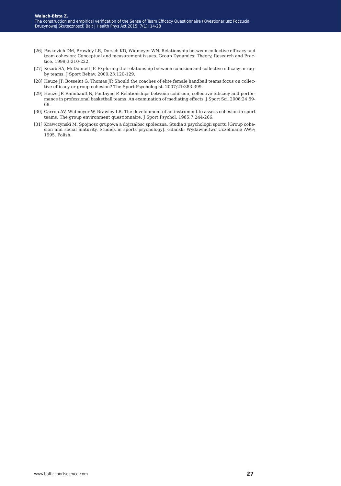- [26] Paskevich DM, Brawley LR, Dorsch KD, Widmeyer WN. Relationship between collective efficacy and team cohesion: Conceptual and measurement issues. Group Dynamics: Theory, Research and Practice. 1999;3:210-222.
- [27] Kozub SA, McDonnell JF. Exploring the relationship between cohesion and collective efficacy in rugby teams. J Sport Behav. 2000;23:120-129.
- [28] Heuze JP, Bosselut G, Thomas JP. Should the coaches of elite female handball teams focus on collective efficacy or group cohesion? The Sport Psychologist. 2007;21:383-399.
- [29] Heuze JP, Raimbault N, Fontayne P. Relationships between cohesion, collective-efficacy and performance in professional basketball teams: An examination of mediating effects. J Sport Sci. 2006;24:59- 68.
- [30] Carron AV, Widmeyer W, Brawley LR. The development of an instrument to assess cohesion in sport teams: The group environment questionnaire. J Sport Psychol. 1985;7:244-266.
- [31] Krawczynski M. Spojnosc grupowa a dojrzałosc spoleczna. Studia z psychologii sportu [Group cohesion and social maturity. Studies in sports psychology]. Gdansk: Wydawnictwo Uczelniane AWF; 1995. Polish.